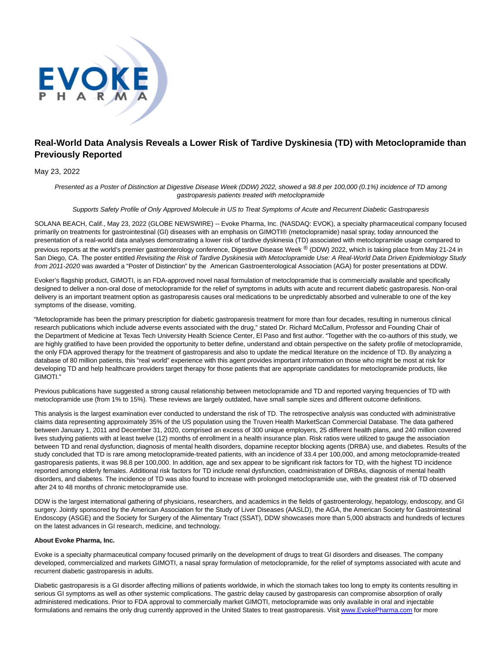

# **Real-World Data Analysis Reveals a Lower Risk of Tardive Dyskinesia (TD) with Metoclopramide than Previously Reported**

### May 23, 2022

Presented as a Poster of Distinction at Digestive Disease Week (DDW) 2022, showed a 98.8 per 100,000 (0.1%) incidence of TD among gastroparesis patients treated with metoclopramide

Supports Safety Profile of Only Approved Molecule in US to Treat Symptoms of Acute and Recurrent Diabetic Gastroparesis

SOLANA BEACH, Calif., May 23, 2022 (GLOBE NEWSWIRE) -- Evoke Pharma, Inc. (NASDAQ: EVOK), a specialty pharmaceutical company focused primarily on treatments for gastrointestinal (GI) diseases with an emphasis on GIMOTI® (metoclopramide) nasal spray, today announced the presentation of a real-world data analyses demonstrating a lower risk of tardive dyskinesia (TD) associated with metoclopramide usage compared to previous reports at the world's premier gastroenterology conference, Digestive Disease Week ® (DDW) 2022, which is taking place from May 21-24 in San Diego, CA. The poster entitled Revisiting the Risk of Tardive Dyskinesia with Metoclopramide Use: A Real-World Data Driven Epidemiology Study from 2011-2020 was awarded a "Poster of Distinction" by the American Gastroenterological Association (AGA) for poster presentations at DDW.

Evoker's flagship product, GIMOTI, is an FDA-approved novel nasal formulation of metoclopramide that is commercially available and specifically designed to deliver a non-oral dose of metoclopramide for the relief of symptoms in adults with acute and recurrent diabetic gastroparesis. Non-oral delivery is an important treatment option as gastroparesis causes oral medications to be unpredictably absorbed and vulnerable to one of the key symptoms of the disease, vomiting.

"Metoclopramide has been the primary prescription for diabetic gastroparesis treatment for more than four decades, resulting in numerous clinical research publications which include adverse events associated with the drug," stated Dr. Richard McCallum, Professor and Founding Chair of the Department of Medicine at Texas Tech University Health Science Center, El Paso and first author. "Together with the co-authors of this study, we are highly gratified to have been provided the opportunity to better define, understand and obtain perspective on the safety profile of metoclopramide, the only FDA approved therapy for the treatment of gastroparesis and also to update the medical literature on the incidence of TD. By analyzing a database of 80 million patients, this "real world" experience with this agent provides important information on those who might be most at risk for developing TD and help healthcare providers target therapy for those patients that are appropriate candidates for metoclopramide products, like GIMOTI."

Previous publications have suggested a strong causal relationship between metoclopramide and TD and reported varying frequencies of TD with metoclopramide use (from 1% to 15%). These reviews are largely outdated, have small sample sizes and different outcome definitions.

This analysis is the largest examination ever conducted to understand the risk of TD. The retrospective analysis was conducted with administrative claims data representing approximately 35% of the US population using the Truven Health MarketScan Commercial Database. The data gathered between January 1, 2011 and December 31, 2020, comprised an excess of 300 unique employers, 25 different health plans, and 240 million covered lives studying patients with at least twelve (12) months of enrollment in a health insurance plan. Risk ratios were utilized to gauge the association between TD and renal dysfunction, diagnosis of mental health disorders, dopamine receptor blocking agents (DRBA) use, and diabetes. Results of the study concluded that TD is rare among metoclopramide-treated patients, with an incidence of 33.4 per 100,000, and among metoclopramide-treated gastroparesis patients, it was 98.8 per 100,000. In addition, age and sex appear to be significant risk factors for TD, with the highest TD incidence reported among elderly females. Additional risk factors for TD include renal dysfunction, coadministration of DRBAs, diagnosis of mental health disorders, and diabetes. The incidence of TD was also found to increase with prolonged metoclopramide use, with the greatest risk of TD observed after 24 to 48 months of chronic metoclopramide use.

DDW is the largest international gathering of physicians, researchers, and academics in the fields of gastroenterology, hepatology, endoscopy, and GI surgery. Jointly sponsored by the American Association for the Study of Liver Diseases (AASLD), the AGA, the American Society for Gastrointestinal Endoscopy (ASGE) and the Society for Surgery of the Alimentary Tract (SSAT), DDW showcases more than 5,000 abstracts and hundreds of lectures on the latest advances in GI research, medicine, and technology.

#### **About Evoke Pharma, Inc.**

Evoke is a specialty pharmaceutical company focused primarily on the development of drugs to treat GI disorders and diseases. The company developed, commercialized and markets GIMOTI, a nasal spray formulation of metoclopramide, for the relief of symptoms associated with acute and recurrent diabetic gastroparesis in adults.

Diabetic gastroparesis is a GI disorder affecting millions of patients worldwide, in which the stomach takes too long to empty its contents resulting in serious GI symptoms as well as other systemic complications. The gastric delay caused by gastroparesis can compromise absorption of orally administered medications. Prior to FDA approval to commercially market GIMOTI, metoclopramide was only available in oral and injectable formulations and remains the only drug currently approved in the United States to treat gastroparesis. Visi[t www.EvokePharma.com f](https://www.globenewswire.com/Tracker?data=1Ud9Atr56mz28Tbhf7I9BVpJGXYidpQEf6fG1KeJ13jIxavARJLwrwI2FKxSC5UjYdQMZ1vlGk7FeZrP2fknK6IJ3xNN6mHzaDHR2TGawl3QCAcXWRAQyuqjPMdnfe30Lu1KbvWFoLQ_UoTthlmun7Xs2kBVoqI4MfX0UmBt6Njir_R9n-qnSqky4W71rwsyMr7U0ee9T5uIDmG2hGr5QBukX10-sIBL-zxOaBUxTQ3IPq9DNSiGWGnMrJspv0trKUPL0v07sSiqJLQrEFIzwA==)or more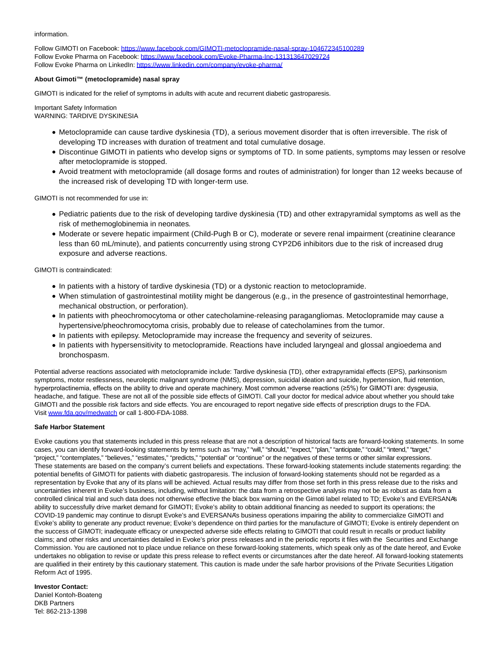information.

Follow GIMOTI on Facebook: [https://www.facebook.com/GIMOTI-metoclopramide-nasal-spray-104672345100289](https://www.globenewswire.com/Tracker?data=RuKalAcS9XBBmrlm-PHne8EUAosrNEpX3BXyhHJYIDvrrZIPqScS-EV1rNoh3ZdwOgeuPT00hpAESQcgp2mjeRmRnOO0uHrTSPpn7Y3n3akCCHap45MPMXGoc_FgI1ZI75MBygNFW6zFHB086mBNZyC0UcBI-27O8qDIFi15fup1UdUPNSkdN87ZabcdmOMDzzv2TYcL4AxREu3y2oiIfNvlGHt8IHbZusX9RzvYlMTJZB6QMovcvkpO483f_BSbl_UAZZAePfY30MGsBLGy1kDfG271Rj0sBUHNvpEK3zAo0yRy_HhmZ9rQ_KvE-hSV7N2-aOfWbi9DfTpg5ZJ8IozlJvlczreR0bw4RR0NeC8jPHKHpDzPmqhD0kTXU9AI9mtFXrsgL6SqN8qfg05p1IyKYOaW-lBU5lHgzXv5IIXI7A966cSQYvTSM3tjU5--fU3YlzKaEy4G-YqWsf7iJ6SmzQbCz-HPJpMB7N9Xf_wSyc-3uvPHbZ6-Tr7GXcr4) Follow Evoke Pharma on Facebook: [https://www.facebook.com/Evoke-Pharma-Inc-131313647029724](https://www.globenewswire.com/Tracker?data=RuKalAcS9XBBmrlm-PHne8EUAosrNEpX3BXyhHJYIDum3mbtzcE3aq61cd_HN35DmgtWugR5e5VevbQWNNb9M_iPuJ8t6SViEHnP77bzAw_Thso047cS7_MGc-HawtcD85OCmouvQEB3WQFZHOn7H7i-EFPDdq7_9IIFCKUgbNpF_udoKVYlly1avyyLa1_oyCO1QYehJrZwwt0hYI5lxejYjRZlDfQgzg7oXNaz7rDAac0iUBzcDL77WWzriNlb4WLb0yBG7TcK8sNxFokC7NU16i2JuiTQgszjizE0flZKZ0I5UOqS0B8m2ZP0GTKYlZ1Hc5Ee4h0-RT4tgOwfmF-aWkIW2hYVvd8niuiVwRVHoyf9bEN0CNNWTjJ9mbSPLRvZvpX2HSPIZXPIWCyE9E6KwRnZY_u8unOXZDRQRgY=) Follow Evoke Pharma on LinkedIn: [https://www.linkedin.com/company/evoke-pharma/](https://www.globenewswire.com/Tracker?data=RuKalAcS9XBBmrlm-PHne40n5eFMK15I9i3OrrFp4o5BI9scAfucg2maejCmCM1xwngKja2dm8ZGpZx3pI9niByiVNny7E4hN2Gme8jUAvojEqIDIf5P_DWSIggGks-MTzmTDrjnkMHfJVc_uTPkQw2R-qNtBuodZBvCfBYHoRbATxTyu-727qspeSeyRTHqbBFge7FlMZFlJSt4NeYDTOUvMWN2nEgpXUb-uG5C0N7V9U3aSSgfEzvWG39_UEcISnSY5UkHW963RnqBcHHHLFAy0zHa3b7Lr65NUdg0qGjATSFQ0ypjDFpVgCi1kbYJsmk1UbCvkGOYD6qDeQmdIiUfYrQVeOhMBvE5Aw5eYI1_Erp7535w_hH95czCGmI_)

### **About Gimoti™ (metoclopramide) nasal spray**

GIMOTI is indicated for the relief of symptoms in adults with acute and recurrent diabetic gastroparesis.

Important Safety Information WARNING: TARDIVE DYSKINESIA

- Metoclopramide can cause tardive dyskinesia (TD), a serious movement disorder that is often irreversible. The risk of developing TD increases with duration of treatment and total cumulative dosage.
- Discontinue GIMOTI in patients who develop signs or symptoms of TD. In some patients, symptoms may lessen or resolve after metoclopramide is stopped.
- Avoid treatment with metoclopramide (all dosage forms and routes of administration) for longer than 12 weeks because of the increased risk of developing TD with longer-term use.

GIMOTI is not recommended for use in:

- Pediatric patients due to the risk of developing tardive dyskinesia (TD) and other extrapyramidal symptoms as well as the risk of methemoglobinemia in neonates.
- Moderate or severe hepatic impairment (Child-Pugh B or C), moderate or severe renal impairment (creatinine clearance less than 60 mL/minute), and patients concurrently using strong CYP2D6 inhibitors due to the risk of increased drug exposure and adverse reactions.

GIMOTI is contraindicated:

- In patients with a history of tardive dyskinesia (TD) or a dystonic reaction to metoclopramide.
- When stimulation of gastrointestinal motility might be dangerous (e.g., in the presence of gastrointestinal hemorrhage, mechanical obstruction, or perforation).
- In patients with pheochromocytoma or other catecholamine-releasing paragangliomas. Metoclopramide may cause a hypertensive/pheochromocytoma crisis, probably due to release of catecholamines from the tumor.
- In patients with epilepsy. Metoclopramide may increase the frequency and severity of seizures.
- In patients with hypersensitivity to metoclopramide. Reactions have included laryngeal and glossal angioedema and bronchospasm.

Potential adverse reactions associated with metoclopramide include: Tardive dyskinesia (TD), other extrapyramidal effects (EPS), parkinsonism symptoms, motor restlessness, neuroleptic malignant syndrome (NMS), depression, suicidal ideation and suicide, hypertension, fluid retention, hyperprolactinemia, effects on the ability to drive and operate machinery. Most common adverse reactions (≥5%) for GIMOTI are: dysgeusia, headache, and fatigue. These are not all of the possible side effects of GIMOTI. Call your doctor for medical advice about whether you should take GIMOTI and the possible risk factors and side effects. You are encouraged to report negative side effects of prescription drugs to the FDA. Visit [www.fda.gov/medwatch o](https://www.globenewswire.com/Tracker?data=8XdsPg0iDTTdrA5MooQaD2TNmLlxiJa6KNBXE5petsgBnxzPZDWECRP-vFH3xc2f9Cl6CR4Q2oYFNEVuGGrtULkQ13hrBVWJy9Uz_Si_7hGmaZnlzaE-XGlImckbUa7ezUpSnNJPBRUgJBQwPJYLpsqoDne1Va92dTcGHr_qY0VHW-FcUeqz5kpoV8Kr1XZG)r call 1-800-FDA-1088.

#### **Safe Harbor Statement**

Evoke cautions you that statements included in this press release that are not a description of historical facts are forward-looking statements. In some cases, you can identify forward-looking statements by terms such as "may," "will," "should," "expect," "plan," "anticipate," "could," "intend," "target," "project," "contemplates," "believes," "estimates," "predicts," "potential" or "continue" or the negatives of these terms or other similar expressions. These statements are based on the company's current beliefs and expectations. These forward-looking statements include statements regarding: the potential benefits of GIMOTI for patients with diabetic gastroparesis. The inclusion of forward-looking statements should not be regarded as a representation by Evoke that any of its plans will be achieved. Actual results may differ from those set forth in this press release due to the risks and uncertainties inherent in Evoke's business, including, without limitation: the data from a retrospective analysis may not be as robust as data from a controlled clinical trial and such data does not otherwise effective the black box warning on the Gimoti label related to TD; Evoke's and EVERSANA's ability to successfully drive market demand for GIMOTI; Evoke's ability to obtain additional financing as needed to support its operations; the COVID-19 pandemic may continue to disrupt Evoke's and EVERSANA's business operations impairing the ability to commercialize GIMOTI and Evoke's ability to generate any product revenue; Evoke's dependence on third parties for the manufacture of GIMOTI; Evoke is entirely dependent on the success of GIMOTI; inadequate efficacy or unexpected adverse side effects relating to GIMOTI that could result in recalls or product liability claims; and other risks and uncertainties detailed in Evoke's prior press releases and in the periodic reports it files with the Securities and Exchange Commission. You are cautioned not to place undue reliance on these forward-looking statements, which speak only as of the date hereof, and Evoke undertakes no obligation to revise or update this press release to reflect events or circumstances after the date hereof. All forward-looking statements are qualified in their entirety by this cautionary statement. This caution is made under the safe harbor provisions of the Private Securities Litigation Reform Act of 1995.

## **Investor Contact:**

Daniel Kontoh-Boateng DKB Partners Tel: 862-213-1398